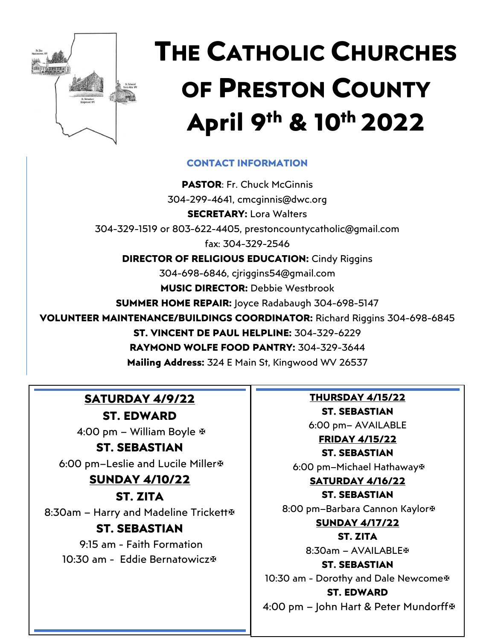

# **THE CATHOLIC CHURCHES OF PRESTON COUNTY April 9 th & 10th 2022**

### **CONTACT INFORMATION**

**PASTOR**: Fr. Chuck McGinnis 304-299-4641, cmcginnis@dwc.org **SECRETARY:** Lora Walters 304-329-1519 or 803-622-4405, [prestoncountycatholic@gmail.com](mailto:prestoncountycatholic@gmail.com) fax: 304-329-2546 **DIRECTOR OF RELIGIOUS EDUCATION: Cindy Riggins** 304-698-6846, cjriggins54@gmail.com **MUSIC DIRECTOR:** Debbie Westbrook **SUMMER HOME REPAIR:** Joyce Radabaugh 304-698-5147 **VOLUNTEER MAINTENANCE/BUILDINGS COORDINATOR:** Richard Riggins 304-698-6845 **ST. VINCENT DE PAUL HELPLINE:** 304-329-6229 **RAYMOND WOLFE FOOD PANTRY:** 304-329-3644 **Mailing Address:** 324 E Main St, Kingwood WV 26537

# **SATURDAY 4/9/22**

**ST. EDWARD** 4:00 pm – William Boyle

### **ST. SEBASTIAN**

6:00 pm–Leslie and Lucile Miller

## **SUNDAY 4/10/22**

**ST. ZITA** 8:30am – Harry and Madeline Trickett **ST. SEBASTIAN**

# 9:15 am - Faith Formation

10:30 am - Eddie Bernatowicz

**THURSDAY 4/15/22 ST. SEBASTIAN**

6:00 pm– AVAILABLE

# **FRIDAY 4/15/22**

**ST. SEBASTIAN**

6:00 pm–Michael Hathaway

#### **SATURDAY 4/16/22 ST. SEBASTIAN**

8:00 pm–Barbara Cannon Kaylor

#### **SUNDAY 4/17/22**

**ST. ZITA** 8:30am – AVAILABLE

**ST. SEBASTIAN** 10:30 am - Dorothy and Dale Newcome **ST. EDWARD**

4:00 pm – John Hart & Peter Mundorff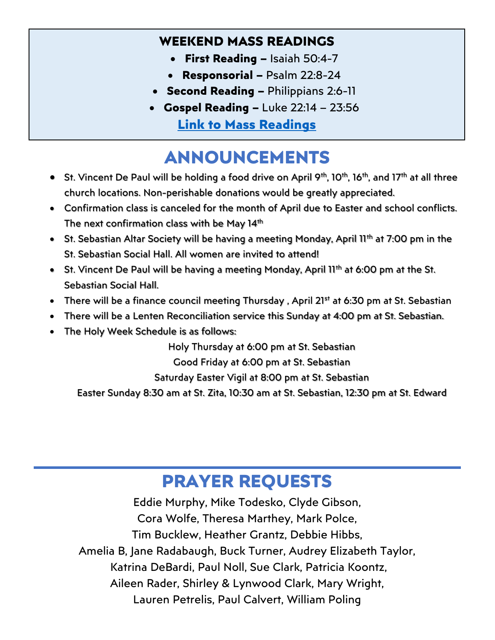# **WEEKEND MASS READINGS**

- **First Reading –** Isaiah 50:4-7
- **Responsorial –** Psalm 22:8-24
- **Second Reading –** Philippians 2:6-11
- **Gospel Reading –** Luke 22:14 23:56 **[Link to Mass Readings](https://bible.usccb.org/bible/readings/041022.cfm)**

# **ANNOUNCEMENTS**

- St. Vincent De Paul will be holding a food drive on April 9<sup>th</sup>, 10<sup>th</sup>, 16<sup>th</sup>, and 17<sup>th</sup> at all three church locations. Non-perishable donations would be greatly appreciated.
- Confirmation class is canceled for the month of April due to Easter and school conflicts. The next confirmation class with be May  $14<sup>th</sup>$
- St. Sebastian Altar Society will be having a meeting Monday, April 11<sup>th</sup> at 7:00 pm in the St. Sebastian Social Hall. All women are invited to attend!
- St. Vincent De Paul will be having a meeting Monday, April 11<sup>th</sup> at 6:00 pm at the St. Sebastian Social Hall.
- There will be a finance council meeting Thursday, April 21<sup>st</sup> at 6:30 pm at St. Sebastian
- There will be a Lenten Reconciliation service this Sunday at 4:00 pm at St. Sebastian.
- The Holy Week Schedule is as follows:

Holy Thursday at 6:00 pm at St. Sebastian

Good Friday at 6:00 pm at St. Sebastian

Saturday Easter Vigil at 8:00 pm at St. Sebastian

Easter Sunday 8:30 am at St. Zita, 10:30 am at St. Sebastian, 12:30 pm at St. Edward

# **PRAYER REQUESTS**

Eddie Murphy, Mike Todesko, Clyde Gibson, Cora Wolfe, Theresa Marthey, Mark Polce, Tim Bucklew, Heather Grantz, Debbie Hibbs, Amelia B, Jane Radabaugh, Buck Turner, Audrey Elizabeth Taylor, Katrina DeBardi, Paul Noll, Sue Clark, Patricia Koontz, Aileen Rader, Shirley & Lynwood Clark, Mary Wright, Lauren Petrelis, Paul Calvert, William Poling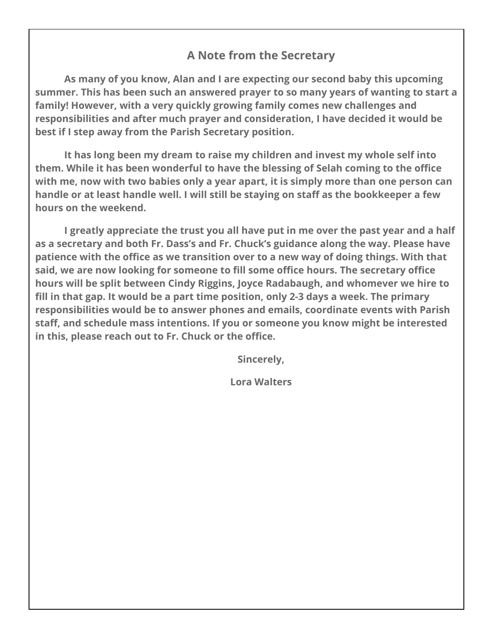### **A Note from the Secretary**

**As many of you know, Alan and I are expecting our second baby this upcoming summer. This has been such an answered prayer to so many years of wanting to start a family! However, with a very quickly growing family comes new challenges and responsibilities and after much prayer and consideration, I have decided it would be best if I step away from the Parish Secretary position.**

**It has long been my dream to raise my children and invest my whole self into them. While it has been wonderful to have the blessing of Selah coming to the office with me, now with two babies only a year apart, it is simply more than one person can handle or at least handle well. I will still be staying on staff as the bookkeeper a few hours on the weekend.**

**I greatly appreciate the trust you all have put in me over the past year and a half as a secretary and both Fr. Dass's and Fr. Chuck's guidance along the way. Please have patience with the office as we transition over to a new way of doing things. With that said, we are now looking for someone to fill some office hours. The secretary office hours will be split between Cindy Riggins, Joyce Radabaugh, and whomever we hire to fill in that gap. It would be a part time position, only 2-3 days a week. The primary responsibilities would be to answer phones and emails, coordinate events with Parish staff, and schedule mass intentions. If you or someone you know might be interested in this, please reach out to Fr. Chuck or the office.**

**Sincerely,**

**Lora Walters**